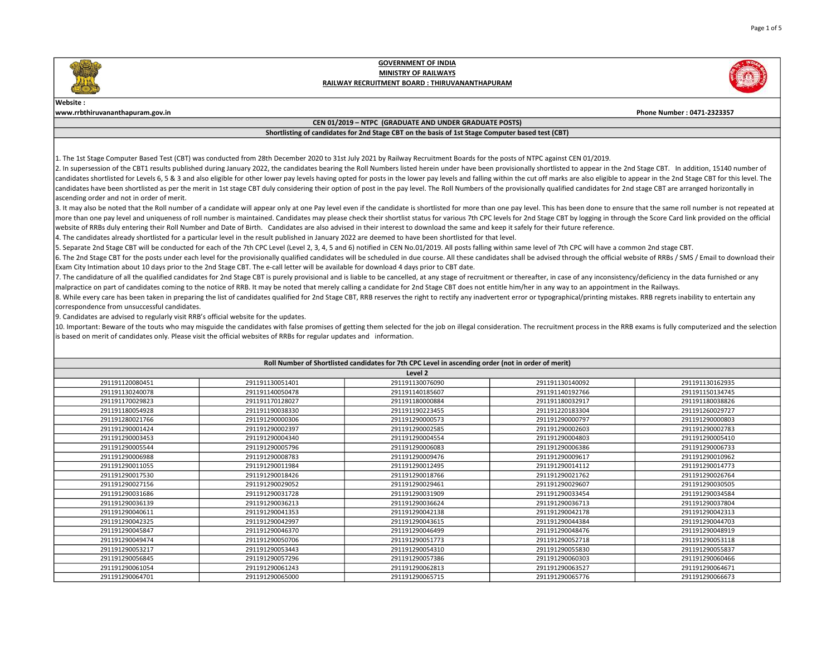

## Website :

www.rrbthiruvananthapuram.gov.in Phone Number : 0471-2323357

## CEN 01/2019 – NTPC (GRADUATE AND UNDER GRADUATE POSTS)

# Shortlisting of candidates for 2nd Stage CBT on the basis of 1st Stage Computer based test (CBT)

1. The 1st Stage Computer Based Test (CBT) was conducted from 28th December 2020 to 31st July 2021 by Railway Recruitment Boards for the posts of NTPC against CEN 01/2019.

2. In supersession of the CBT1 results published during January 2022, the candidates bearing the Roll Numbers listed herein under have been provisionally shortlisted to appear in the 2nd Stage CBT. In addition, 15140 numbe candidates shortlisted for Levels 6, 5 & 3 and also eligible for other lower pay levels having opted for posts in the lower pay levels and falling within the cut off marks are also eligible to appear in the 2nd Stage CBT f candidates have been shortlisted as per the merit in 1st stage CBT duly considering their option of post in the pay level. The Roll Numbers of the provisionally qualified candidates for 2nd stage CBT are arranged horizonta ascending order and not in order of merit.

3. It may also be noted that the Roll number of a candidate will appear only at one Pay level even if the candidate is shortlisted for more than one pay level. This has been done to ensure that the same roll number is not more than one pay level and uniqueness of roll number is maintained. Candidates may please check their shortlist status for various 7th CPC levels for 2nd Stage CBT by logging in through the Score Card link provided on the website of RRBs duly entering their Roll Number and Date of Birth. Candidates are also advised in their interest to download the same and keep it safely for their future reference.

4. The candidates already shortlisted for a particular level in the result published in January 2022 are deemed to have been shortlisted for that level.

5. Separate 2nd Stage CBT will be conducted for each of the 7th CPC Level (Level 2, 3, 4, 5 and 6) notified in CEN No.01/2019. All posts falling within same level of 7th CPC will have a common 2nd stage CBT.

6. The 2nd Stage CBT for the posts under each level for the provisionally qualified candidates will be scheduled in due course. All these candidates shall be advised through the official website of RRBs / SMS / Email to do Exam City Intimation about 10 days prior to the 2nd Stage CBT. The e-call letter will be available for download 4 days prior to CBT date.

7. The candidature of all the qualified candidates for 2nd Stage CBT is purely provisional and is liable to be cancelled, at any stage of recruitment or thereafter, in case of any inconsistency/deficiency in the data furni malpractice on part of candidates coming to the notice of RRB. It may be noted that merely calling a candidate for 2nd Stage CBT does not entitle him/her in any way to an appointment in the Railways.

8. While every care has been taken in preparing the list of candidates qualified for 2nd Stage CBT, RRB reserves the right to rectify any inadvertent error or typographical/printing mistakes. RRB regrets inability to enter correspondence from unsuccessful candidates.

9. Candidates are advised to regularly visit RRB's official website for the updates.

10. Important: Beware of the touts who may misguide the candidates with false promises of getting them selected for the job on illegal consideration. The recruitment process in the RRB exams is fully computerized and the s is based on merit of candidates only. Please visit the official websites of RRBs for regular updates and information.

| Roll Number of Shortlisted candidates for 7th CPC Level in ascending order (not in order of merit) |                 |                 |                 |                 |
|----------------------------------------------------------------------------------------------------|-----------------|-----------------|-----------------|-----------------|
| Level 2                                                                                            |                 |                 |                 |                 |
| 291191120080451                                                                                    | 291191130051401 | 291191130076090 | 291191130140092 | 291191130162935 |
| 291191130240078                                                                                    | 291191140050478 | 291191140185607 | 291191140192766 | 291191150134745 |
| 291191170029823                                                                                    | 291191170128027 | 291191180000884 | 291191180032917 | 291191180038826 |
| 291191180054928                                                                                    | 291191190038330 | 291191190223455 | 291191220183304 | 291191260029727 |
| 291191280021766                                                                                    | 291191290000306 | 291191290000573 | 291191290000797 | 291191290000803 |
| 291191290001424                                                                                    | 291191290002397 | 291191290002585 | 291191290002603 | 291191290002783 |
| 291191290003453                                                                                    | 291191290004340 | 291191290004554 | 291191290004803 | 291191290005410 |
| 291191290005544                                                                                    | 291191290005796 | 291191290006083 | 291191290006386 | 291191290006733 |
| 291191290006988                                                                                    | 291191290008783 | 291191290009476 | 291191290009617 | 291191290010962 |
| 291191290011055                                                                                    | 291191290011984 | 291191290012495 | 291191290014112 | 291191290014773 |
| 291191290017530                                                                                    | 291191290018426 | 291191290018766 | 291191290021762 | 291191290026764 |
| 291191290027156                                                                                    | 291191290029052 | 291191290029461 | 291191290029607 | 291191290030505 |
| 291191290031686                                                                                    | 291191290031728 | 291191290031909 | 291191290033454 | 291191290034584 |
| 291191290036139                                                                                    | 291191290036213 | 291191290036624 | 291191290036713 | 291191290037804 |
| 291191290040611                                                                                    | 291191290041353 | 291191290042138 | 291191290042178 | 291191290042313 |
| 291191290042325                                                                                    | 291191290042997 | 291191290043615 | 291191290044384 | 291191290044703 |
| 291191290045847                                                                                    | 291191290046370 | 291191290046499 | 291191290048476 | 291191290048919 |
| 291191290049474                                                                                    | 291191290050706 | 291191290051773 | 291191290052718 | 291191290053118 |
| 291191290053217                                                                                    | 291191290053443 | 291191290054310 | 291191290055830 | 291191290055837 |
| 291191290056845                                                                                    | 291191290057296 | 291191290057386 | 291191290060303 | 291191290060466 |
| 291191290061054                                                                                    | 291191290061243 | 291191290062813 | 291191290063527 | 291191290064671 |
| 291191290064701                                                                                    | 291191290065000 | 291191290065715 | 291191290065776 | 291191290066673 |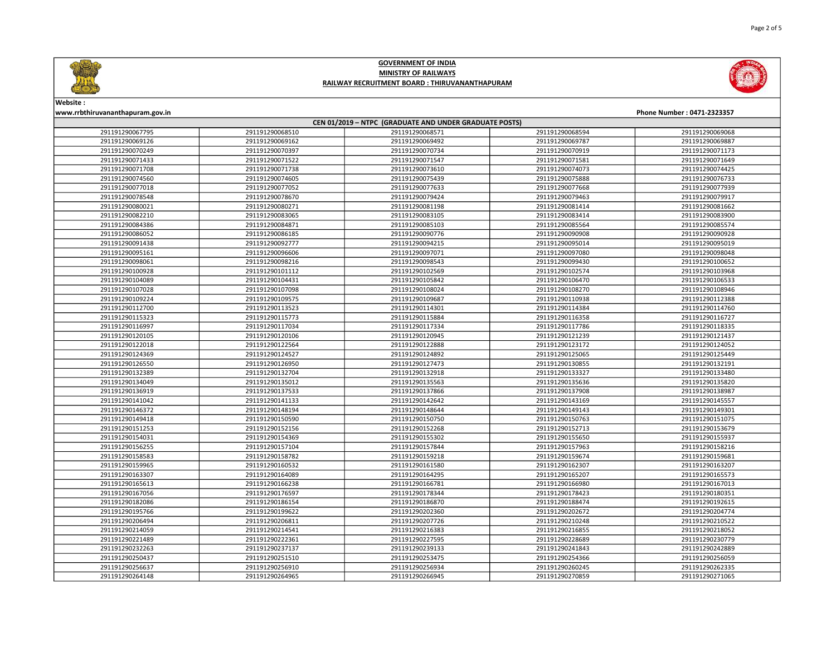

| Phone Number: 0471-2323357<br>www.rrbthiruvananthapuram.gov.in<br>CEN 01/2019 - NTPC (GRADUATE AND UNDER GRADUATE POSTS) |                 |                 |                 |                 |  |
|--------------------------------------------------------------------------------------------------------------------------|-----------------|-----------------|-----------------|-----------------|--|
|                                                                                                                          |                 |                 |                 |                 |  |
| 291191290069126                                                                                                          | 291191290069162 | 291191290069492 | 291191290069787 | 291191290069887 |  |
| 291191290070249                                                                                                          | 291191290070397 | 291191290070734 | 291191290070919 | 291191290071173 |  |
| 291191290071433                                                                                                          | 291191290071522 | 291191290071547 | 291191290071581 | 291191290071649 |  |
| 291191290071708                                                                                                          | 291191290071738 | 291191290073610 | 291191290074073 | 291191290074425 |  |
| 291191290074560                                                                                                          | 291191290074605 | 291191290075439 | 291191290075888 | 291191290076733 |  |
| 291191290077018                                                                                                          | 291191290077052 | 291191290077633 | 291191290077668 | 291191290077939 |  |
| 291191290078548                                                                                                          | 291191290078670 | 291191290079424 | 291191290079463 | 291191290079917 |  |
| 291191290080021                                                                                                          | 291191290080271 | 291191290081198 | 291191290081414 | 291191290081662 |  |
| 291191290082210                                                                                                          | 291191290083065 | 291191290083105 | 291191290083414 | 291191290083900 |  |
| 291191290084386                                                                                                          | 291191290084871 | 291191290085103 | 291191290085564 | 291191290085574 |  |
| 291191290086052                                                                                                          | 291191290086185 | 291191290090776 | 291191290090908 | 291191290090928 |  |
| 291191290091438                                                                                                          | 291191290092777 | 291191290094215 | 291191290095014 | 291191290095019 |  |
| 291191290095161                                                                                                          | 291191290096606 | 291191290097071 | 291191290097080 | 291191290098048 |  |
| 291191290098061                                                                                                          | 291191290098216 | 291191290098543 | 291191290099430 | 291191290100652 |  |
| 291191290100928                                                                                                          | 291191290101112 | 291191290102569 | 291191290102574 | 291191290103968 |  |
| 291191290104089                                                                                                          | 291191290104431 | 291191290105842 | 291191290106470 | 291191290106533 |  |
| 291191290107028                                                                                                          | 291191290107098 | 291191290108024 | 291191290108270 | 291191290108946 |  |
| 291191290109224                                                                                                          | 291191290109575 | 291191290109687 | 291191290110938 | 291191290112388 |  |
| 291191290112700                                                                                                          | 291191290113523 | 291191290114301 | 291191290114384 | 291191290114760 |  |
| 291191290115323                                                                                                          | 291191290115773 | 291191290115884 | 291191290116358 | 291191290116727 |  |
| 291191290116997                                                                                                          | 291191290117034 | 291191290117334 | 291191290117786 | 291191290118335 |  |
| 291191290120105                                                                                                          | 291191290120106 | 291191290120945 | 291191290121239 | 291191290121437 |  |
| 291191290122018                                                                                                          | 291191290122564 | 291191290122888 | 291191290123172 | 291191290124052 |  |
| 291191290124369                                                                                                          | 291191290124527 | 291191290124892 | 291191290125065 | 291191290125449 |  |
| 291191290126550                                                                                                          | 291191290126950 | 291191290127473 | 291191290130855 | 291191290132191 |  |
| 291191290132389                                                                                                          | 291191290132704 | 291191290132918 | 291191290133327 | 291191290133480 |  |
| 291191290134049                                                                                                          | 291191290135012 | 291191290135563 | 291191290135636 | 291191290135820 |  |
| 291191290136919                                                                                                          | 291191290137533 | 291191290137866 | 291191290137908 | 291191290138987 |  |
| 291191290141042                                                                                                          | 291191290141133 | 291191290142642 | 291191290143169 | 291191290145557 |  |
| 291191290146372                                                                                                          | 291191290148194 | 291191290148644 | 291191290149143 | 291191290149301 |  |
| 291191290149418                                                                                                          | 291191290150590 | 291191290150750 | 291191290150763 | 291191290151075 |  |
| 291191290151253                                                                                                          | 291191290152156 | 291191290152268 | 291191290152713 | 291191290153679 |  |
| 291191290154031                                                                                                          | 291191290154369 | 291191290155302 | 291191290155650 | 291191290155937 |  |
| 291191290156255                                                                                                          | 291191290157104 | 291191290157844 | 291191290157963 | 291191290158216 |  |
| 291191290158583                                                                                                          | 291191290158782 | 291191290159218 | 291191290159674 | 291191290159681 |  |
| 291191290159965                                                                                                          | 291191290160532 | 291191290161580 | 291191290162307 | 291191290163207 |  |
| 291191290163307                                                                                                          | 291191290164089 | 291191290164295 | 291191290165207 | 291191290165573 |  |
| 291191290165613                                                                                                          | 291191290166238 | 291191290166781 | 291191290166980 | 291191290167013 |  |
| 291191290167056                                                                                                          | 291191290176597 | 291191290178344 | 291191290178423 | 291191290180351 |  |
| 291191290182086                                                                                                          | 291191290186154 | 291191290186870 | 291191290188474 | 291191290192615 |  |
| 291191290195766                                                                                                          | 291191290199622 | 291191290202360 | 291191290202672 | 291191290204774 |  |
| 291191290206494                                                                                                          | 291191290206811 | 291191290207726 | 291191290210248 | 291191290210522 |  |
| 291191290214059                                                                                                          | 291191290214541 | 291191290216383 | 291191290216855 | 291191290218052 |  |
| 291191290221489                                                                                                          | 291191290222361 | 291191290227595 | 291191290228689 | 291191290230779 |  |
| 291191290232263                                                                                                          | 291191290237137 | 291191290239133 | 291191290241843 | 291191290242889 |  |
| 291191290250437                                                                                                          | 291191290251510 | 291191290253475 | 291191290254366 | 291191290256059 |  |
| 291191290256637                                                                                                          | 291191290256910 | 291191290256934 | 291191290260245 | 291191290262335 |  |
| 291191290264148                                                                                                          | 291191290264965 | 291191290266945 | 291191290270859 | 291191290271065 |  |

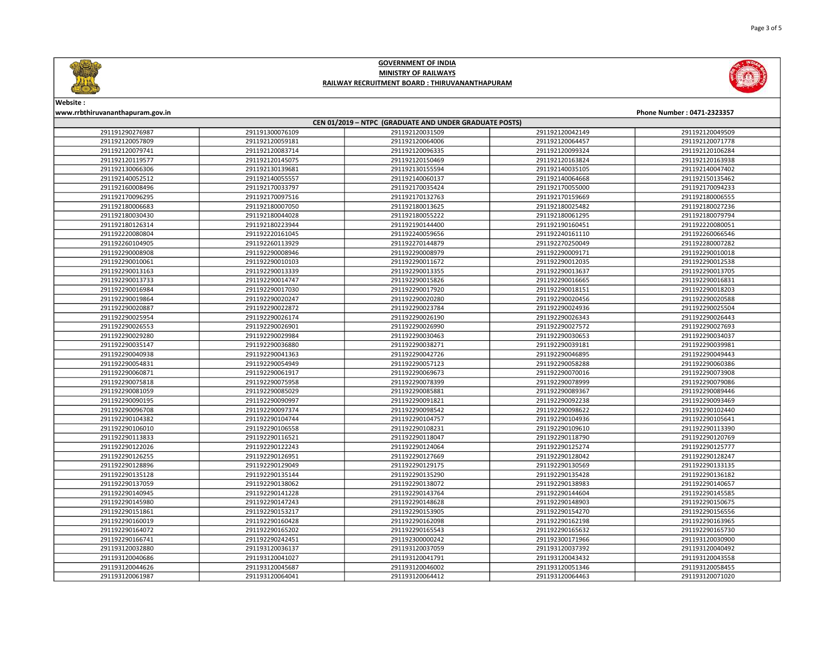

| Website:                                               |                 |                 |                 |                            |
|--------------------------------------------------------|-----------------|-----------------|-----------------|----------------------------|
| www.rrbthiruvananthapuram.gov.in                       |                 |                 |                 | Phone Number: 0471-2323357 |
| CEN 01/2019 - NTPC (GRADUATE AND UNDER GRADUATE POSTS) |                 |                 |                 |                            |
| 291191290276987                                        | 291191300076109 | 291192120031509 | 291192120042149 | 291192120049509            |
| 291192120057809                                        | 291192120059181 | 291192120064006 | 291192120064457 | 291192120071778            |
| 291192120079741                                        | 291192120083714 | 291192120096335 | 291192120099324 | 291192120106284            |
| 291192120119577                                        | 291192120145075 | 291192120150469 | 291192120163824 | 291192120163938            |
| 291192130066306                                        | 291192130139681 | 291192130155594 | 291192140035105 | 291192140047402            |
| 291192140052512                                        | 291192140055557 | 291192140060137 | 291192140064668 | 291192150135462            |
| 291192160008496                                        | 291192170033797 | 291192170035424 | 291192170055000 | 291192170094233            |
| 291192170096295                                        | 291192170097516 | 291192170132763 | 291192170159669 | 291192180006555            |
| 291192180006683                                        | 291192180007050 | 291192180013625 | 291192180025482 | 291192180027236            |
| 291192180030430                                        | 291192180044028 | 291192180055222 | 291192180061295 | 291192180079794            |
| 291192180126314                                        | 291192180223944 | 291192190144400 | 291192190160451 | 291192220080051            |
| 291192220080804                                        | 291192220161045 | 291192240059656 | 291192240161110 | 291192260066546            |
| 291192260104905                                        | 291192260113929 | 291192270144879 | 291192270250049 | 291192280007282            |
| 291192290008908                                        | 291192290008946 | 291192290008979 | 291192290009171 | 291192290010018            |
| 291192290010061                                        | 291192290010103 | 291192290011672 | 291192290012035 | 291192290012538            |
| 291192290013163                                        | 291192290013339 | 291192290013355 | 291192290013637 | 291192290013705            |
| 291192290013733                                        | 291192290014747 | 291192290015826 | 291192290016665 | 291192290016831            |
| 291192290016984                                        | 291192290017030 | 291192290017920 | 291192290018151 | 291192290018203            |
| 291192290019864                                        | 291192290020247 | 291192290020280 | 291192290020456 | 291192290020588            |
| 291192290020887                                        | 291192290022872 | 291192290023784 | 291192290024936 | 291192290025504            |
| 291192290025954                                        | 291192290026174 | 291192290026190 | 291192290026343 | 291192290026443            |
| 291192290026553                                        | 291192290026901 | 291192290026990 | 291192290027572 | 291192290027693            |
| 291192290029280                                        | 291192290029984 | 291192290030463 | 291192290030653 | 291192290034037            |
| 291192290035147                                        | 291192290036880 | 291192290038271 | 291192290039181 | 291192290039981            |
| 291192290040938                                        | 291192290041363 | 291192290042726 | 291192290046895 | 291192290049443            |
| 291192290054831                                        | 291192290054949 | 291192290057123 | 291192290058288 | 291192290060386            |
| 291192290060871                                        | 291192290061917 | 291192290069673 | 291192290070016 | 291192290073908            |
| 291192290075818                                        | 291192290075958 | 291192290078399 | 291192290078999 | 291192290079086            |
| 291192290081059                                        | 291192290085029 | 291192290085881 | 291192290089367 | 291192290089446            |
| 291192290090195                                        | 291192290090997 | 291192290091821 | 291192290092238 | 291192290093469            |
| 291192290096708                                        | 291192290097374 | 291192290098542 | 291192290098622 | 291192290102440            |
| 291192290104382                                        | 291192290104744 | 291192290104757 | 291192290104936 | 291192290105641            |
| 291192290106010                                        | 291192290106558 | 291192290108231 | 291192290109610 | 291192290113390            |
| 291192290113833                                        | 291192290116521 | 291192290118047 | 291192290118790 | 291192290120769            |
| 291192290122026                                        | 291192290122243 | 291192290124064 | 291192290125274 | 291192290125777            |
| 291192290126255                                        | 291192290126951 | 291192290127669 | 291192290128042 | 291192290128247            |
| 291192290128896                                        | 291192290129049 | 291192290129175 | 291192290130569 | 291192290133135            |
| 291192290135128                                        | 291192290135144 | 291192290135290 | 291192290135428 | 291192290136182            |
| 291192290137059                                        | 291192290138062 | 291192290138072 | 291192290138983 | 291192290140657            |
| 291192290140945                                        | 291192290141228 | 291192290143764 | 291192290144604 | 291192290145585            |
| 291192290145980                                        | 291192290147243 | 291192290148628 | 291192290148903 | 291192290150675            |
| 291192290151861                                        | 291192290153217 | 291192290153905 | 291192290154270 | 291192290156556            |
| 291192290160019                                        | 291192290160428 | 291192290162098 | 291192290162198 | 291192290163965            |
| 291192290164072                                        | 291192290165202 | 291192290165543 | 291192290165632 | 291192290165730            |
| 291192290166741                                        | 291192290242451 | 291192300000242 | 291192300171966 | 291193120030900            |
| 291193120032880                                        | 291193120036137 | 291193120037059 | 291193120037392 | 291193120040492            |
| 291193120040686                                        | 291193120041027 | 291193120041791 | 291193120043432 | 291193120043558            |
| 291193120044626                                        | 291193120045687 | 291193120046002 | 291193120051346 | 291193120058455            |
| 291193120061987                                        | 291193120064041 | 291193120064412 | 291193120064463 | 291193120071020            |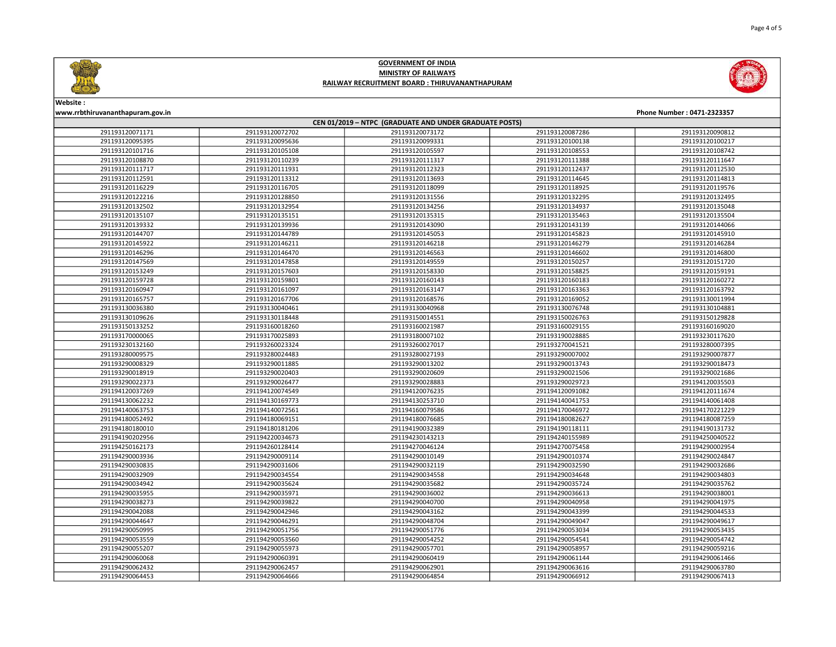



Website :

### www.rrbthiruvananthapuram.gov.in Phone Number : 0471-2323357 CEN 01/2019 – NTPC (GRADUATE AND UNDER GRADUATE POSTS) 291193120072702 291193120073172 291193120087286 291193120090812 291193120095636 291193120099331 291193120100138 291193120100217 291193120105108 291193120105597 291193120108553 291193120108742 291193120110239 291193120111317 291193120111388 291193120111647 291193120111931 291193120112323 291193120112437 291193120112530 291193120113312 291193120113693 291193120114645 291193120114813 291193120116705 291193120118099 291193120118925 291193120119576 291193120128850 291193120131556 291193120132295 291193120132495 291193120132954 291193120134256 291193120134937 291193120135048 291193120135151 291193120135315 291193120135463 291193120135504 291193120139936 291193120143090 291193120143139 291193120144066 291193120144789 291193120145053 291193120145823 291193120145910 291193120146211 291193120146218 291193120146279 291193120146284 291193120146470 291193120146563 291193120146602 291193120146800 291193120147858 291193120149559 291193120150257 291193120151720 291193120157603 291193120158330 291193120158825 291193120159191 291193120159801 291193120160143 291193120160183 291193120160272 291193120161097 291193120163147 291193120163363 291193120163792 291193120167706 291193120168576 291193120169052 291193130011994 291193130040461 291193130040968 291193130076748 291193130104881 291193130118448 291193150014551 291193150026763 291193150129828 291193160018260 291193160021987 291193160029155 291193160169020 291193170025893 291193180007102 291193190028885 291193230117620 291193260023324 291193260027017 291193270041521 291193280007395 291193280024483 291193280027193 291193290007002 291193290007877 291193290011885 291193290013202 291193290013743 291193290018473 291193290020403 291193290020609 291193290021506 291193290021686 291193290026477 291193290028883 291193290029723 291194120035503 291194120074549 291194120076235 291194120091082 291194120111674 291194130169773 291194130253710 291194140041753 291194140061408 291194140072561 291194160079586 291194170046972 291194170221229 291194180069151 291194180076685 291194180082627 291194180087259 291194180181206 291194190032389 291194190118111 291194190131732 291194220034673 291194230143213 291194240155989 291194250040522 291194260128414 291194270046124 291194270075458 291194290002954 291194290009114 291194290010149 291194290010374 291194290024847 291194290031606 291194290032119 291194290032590 291194290032686 291194290034554 291194290034558 291194290034648 291194290034803 291194290035624 291194290035682 291194290035724 291194290035762 291194290035971 291194290036002 291194290036613 291194290038001 291194290039822 291194290040700 291194290040958 291194290041975 291194290042946 291194290043162 291194290043399 291194290044533 291194290046291 291194290048704 291194290049047 291194290049617 291194290051756 291194290051776 291194290053034 291194290053435 291194290053560 291194290054252 291194290054541 291194290054742 291194290055973 291194290057701 291194290058957 291194290059216 291194290060391 291194290060419 291194290061144 291194290061466 291194290062457 291194290062901 291194290063616 291194290063780 291194290064666 291194290064854 291194290066912 291194290067413